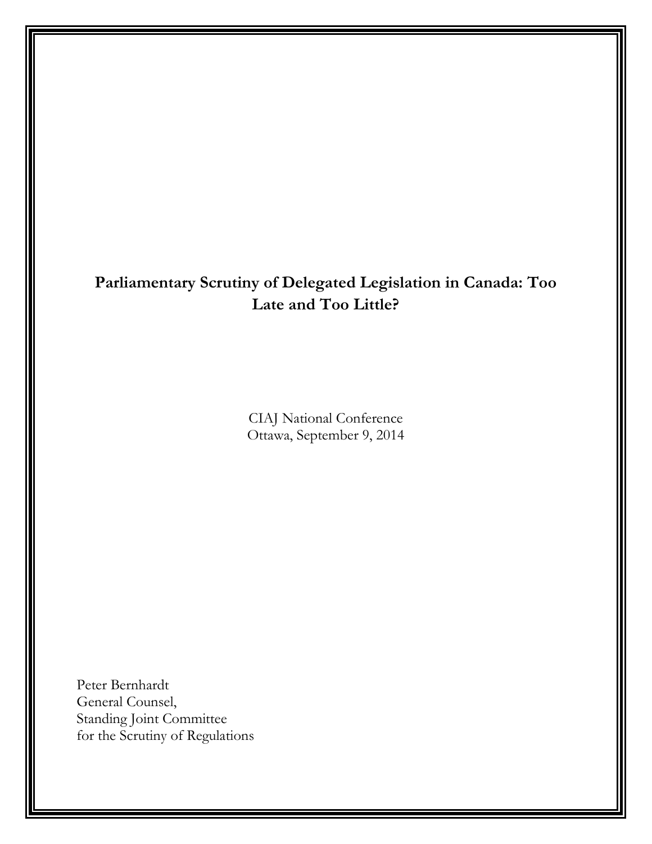## **Parliamentary Scrutiny of Delegated Legislation in Canada: Too Late and Too Little?**

CIAJ National Conference Ottawa, September 9, 2014

Peter Bernhardt General Counsel, Standing Joint Committee for the Scrutiny of Regulations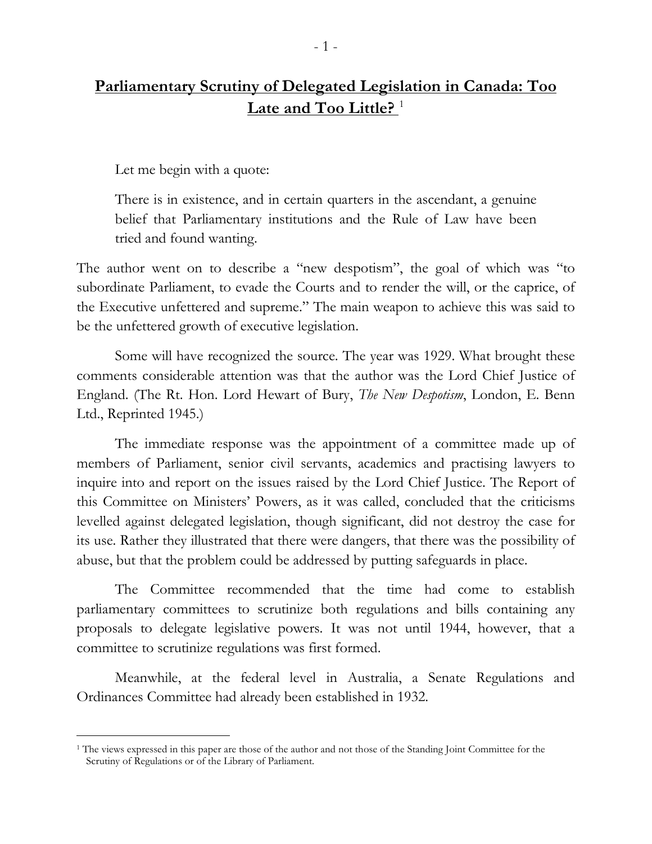Let me begin with a quote:

There is in existence, and in certain quarters in the ascendant, a genuine belief that Parliamentary institutions and the Rule of Law have been tried and found wanting.

The author went on to describe a "new despotism", the goal of which was "to subordinate Parliament, to evade the Courts and to render the will, or the caprice, of the Executive unfettered and supreme." The main weapon to achieve this was said to be the unfettered growth of executive legislation.

Some will have recognized the source. The year was 1929. What brought these comments considerable attention was that the author was the Lord Chief Justice of England. (The Rt. Hon. Lord Hewart of Bury, *The New Despotism*, London, E. Benn Ltd., Reprinted 1945.)

The immediate response was the appointment of a committee made up of members of Parliament, senior civil servants, academics and practising lawyers to inquire into and report on the issues raised by the Lord Chief Justice. The Report of this Committee on Ministers' Powers, as it was called, concluded that the criticisms levelled against delegated legislation, though significant, did not destroy the case for its use. Rather they illustrated that there were dangers, that there was the possibility of abuse, but that the problem could be addressed by putting safeguards in place.

The Committee recommended that the time had come to establish parliamentary committees to scrutinize both regulations and bills containing any proposals to delegate legislative powers. It was not until 1944, however, that a committee to scrutinize regulations was first formed.

Meanwhile, at the federal level in Australia, a Senate Regulations and Ordinances Committee had already been established in 1932.

<span id="page-1-0"></span><sup>&</sup>lt;sup>1</sup> The views expressed in this paper are those of the author and not those of the Standing Joint Committee for the Scrutiny of Regulations or of the Library of Parliament.  $\overline{a}$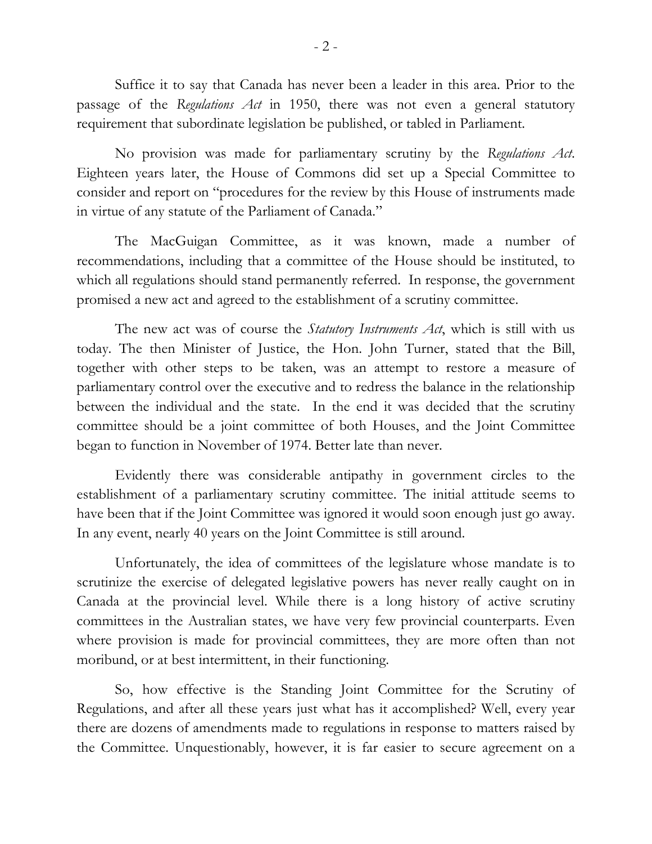Suffice it to say that Canada has never been a leader in this area. Prior to the passage of the *Regulations Act* in 1950, there was not even a general statutory requirement that subordinate legislation be published, or tabled in Parliament.

No provision was made for parliamentary scrutiny by the *Regulations Act*. Eighteen years later, the House of Commons did set up a Special Committee to consider and report on "procedures for the review by this House of instruments made in virtue of any statute of the Parliament of Canada."

The MacGuigan Committee, as it was known, made a number of recommendations, including that a committee of the House should be instituted, to which all regulations should stand permanently referred. In response, the government promised a new act and agreed to the establishment of a scrutiny committee.

The new act was of course the *Statutory Instruments Act*, which is still with us today. The then Minister of Justice, the Hon. John Turner, stated that the Bill, together with other steps to be taken, was an attempt to restore a measure of parliamentary control over the executive and to redress the balance in the relationship between the individual and the state. In the end it was decided that the scrutiny committee should be a joint committee of both Houses, and the Joint Committee began to function in November of 1974. Better late than never.

Evidently there was considerable antipathy in government circles to the establishment of a parliamentary scrutiny committee. The initial attitude seems to have been that if the Joint Committee was ignored it would soon enough just go away. In any event, nearly 40 years on the Joint Committee is still around.

Unfortunately, the idea of committees of the legislature whose mandate is to scrutinize the exercise of delegated legislative powers has never really caught on in Canada at the provincial level. While there is a long history of active scrutiny committees in the Australian states, we have very few provincial counterparts. Even where provision is made for provincial committees, they are more often than not moribund, or at best intermittent, in their functioning.

So, how effective is the Standing Joint Committee for the Scrutiny of Regulations, and after all these years just what has it accomplished? Well, every year there are dozens of amendments made to regulations in response to matters raised by the Committee. Unquestionably, however, it is far easier to secure agreement on a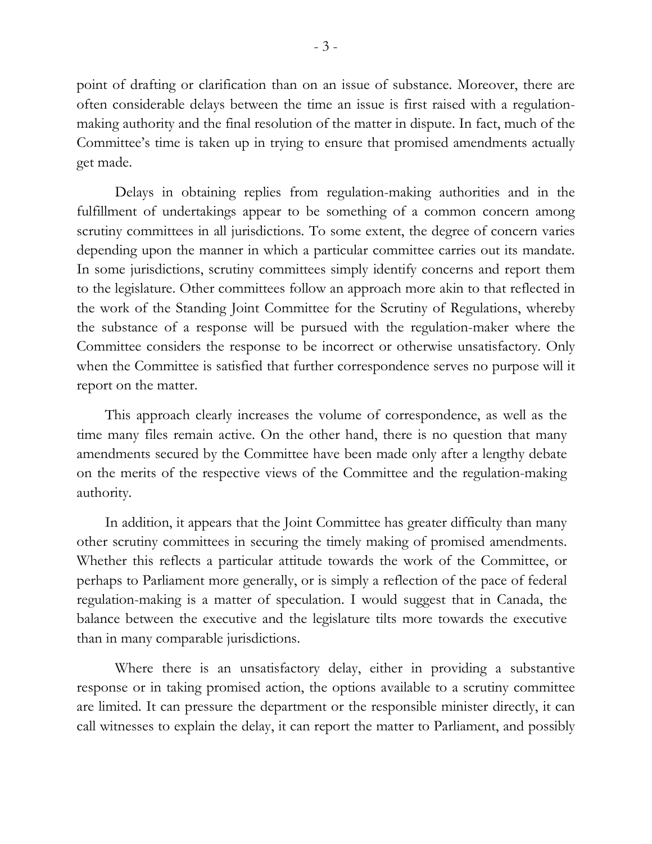point of drafting or clarification than on an issue of substance. Moreover, there are often considerable delays between the time an issue is first raised with a regulationmaking authority and the final resolution of the matter in dispute. In fact, much of the Committee's time is taken up in trying to ensure that promised amendments actually get made.

Delays in obtaining replies from regulation-making authorities and in the fulfillment of undertakings appear to be something of a common concern among scrutiny committees in all jurisdictions. To some extent, the degree of concern varies depending upon the manner in which a particular committee carries out its mandate. In some jurisdictions, scrutiny committees simply identify concerns and report them to the legislature. Other committees follow an approach more akin to that reflected in the work of the Standing Joint Committee for the Scrutiny of Regulations, whereby the substance of a response will be pursued with the regulation-maker where the Committee considers the response to be incorrect or otherwise unsatisfactory. Only when the Committee is satisfied that further correspondence serves no purpose will it report on the matter.

This approach clearly increases the volume of correspondence, as well as the time many files remain active. On the other hand, there is no question that many amendments secured by the Committee have been made only after a lengthy debate on the merits of the respective views of the Committee and the regulation-making authority.

In addition, it appears that the Joint Committee has greater difficulty than many other scrutiny committees in securing the timely making of promised amendments. Whether this reflects a particular attitude towards the work of the Committee, or perhaps to Parliament more generally, or is simply a reflection of the pace of federal regulation-making is a matter of speculation. I would suggest that in Canada, the balance between the executive and the legislature tilts more towards the executive than in many comparable jurisdictions.

Where there is an unsatisfactory delay, either in providing a substantive response or in taking promised action, the options available to a scrutiny committee are limited. It can pressure the department or the responsible minister directly, it can call witnesses to explain the delay, it can report the matter to Parliament, and possibly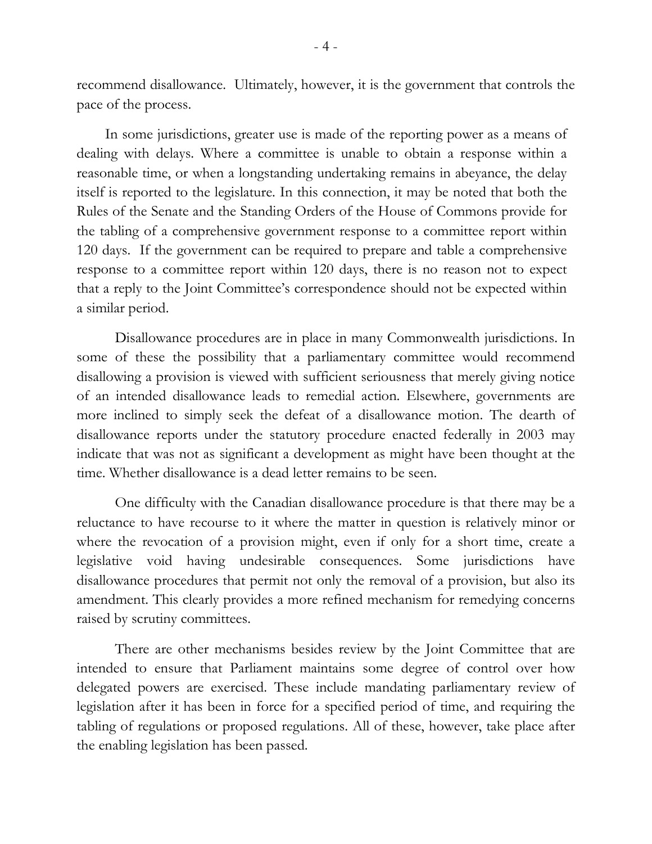recommend disallowance. Ultimately, however, it is the government that controls the pace of the process.

In some jurisdictions, greater use is made of the reporting power as a means of dealing with delays. Where a committee is unable to obtain a response within a reasonable time, or when a longstanding undertaking remains in abeyance, the delay itself is reported to the legislature. In this connection, it may be noted that both the Rules of the Senate and the Standing Orders of the House of Commons provide for the tabling of a comprehensive government response to a committee report within 120 days. If the government can be required to prepare and table a comprehensive response to a committee report within 120 days, there is no reason not to expect that a reply to the Joint Committee's correspondence should not be expected within a similar period.

Disallowance procedures are in place in many Commonwealth jurisdictions. In some of these the possibility that a parliamentary committee would recommend disallowing a provision is viewed with sufficient seriousness that merely giving notice of an intended disallowance leads to remedial action. Elsewhere, governments are more inclined to simply seek the defeat of a disallowance motion. The dearth of disallowance reports under the statutory procedure enacted federally in 2003 may indicate that was not as significant a development as might have been thought at the time. Whether disallowance is a dead letter remains to be seen.

One difficulty with the Canadian disallowance procedure is that there may be a reluctance to have recourse to it where the matter in question is relatively minor or where the revocation of a provision might, even if only for a short time, create a legislative void having undesirable consequences. Some jurisdictions have disallowance procedures that permit not only the removal of a provision, but also its amendment. This clearly provides a more refined mechanism for remedying concerns raised by scrutiny committees.

There are other mechanisms besides review by the Joint Committee that are intended to ensure that Parliament maintains some degree of control over how delegated powers are exercised. These include mandating parliamentary review of legislation after it has been in force for a specified period of time, and requiring the tabling of regulations or proposed regulations. All of these, however, take place after the enabling legislation has been passed.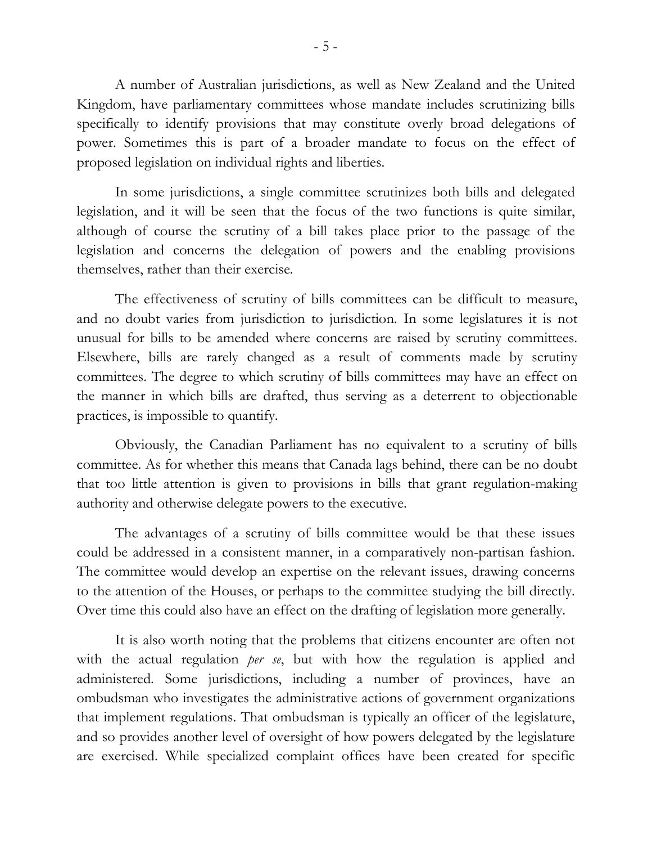A number of Australian jurisdictions, as well as New Zealand and the United Kingdom, have parliamentary committees whose mandate includes scrutinizing bills specifically to identify provisions that may constitute overly broad delegations of power. Sometimes this is part of a broader mandate to focus on the effect of proposed legislation on individual rights and liberties.

In some jurisdictions, a single committee scrutinizes both bills and delegated legislation, and it will be seen that the focus of the two functions is quite similar, although of course the scrutiny of a bill takes place prior to the passage of the legislation and concerns the delegation of powers and the enabling provisions themselves, rather than their exercise.

The effectiveness of scrutiny of bills committees can be difficult to measure, and no doubt varies from jurisdiction to jurisdiction. In some legislatures it is not unusual for bills to be amended where concerns are raised by scrutiny committees. Elsewhere, bills are rarely changed as a result of comments made by scrutiny committees. The degree to which scrutiny of bills committees may have an effect on the manner in which bills are drafted, thus serving as a deterrent to objectionable practices, is impossible to quantify.

Obviously, the Canadian Parliament has no equivalent to a scrutiny of bills committee. As for whether this means that Canada lags behind, there can be no doubt that too little attention is given to provisions in bills that grant regulation-making authority and otherwise delegate powers to the executive.

The advantages of a scrutiny of bills committee would be that these issues could be addressed in a consistent manner, in a comparatively non-partisan fashion. The committee would develop an expertise on the relevant issues, drawing concerns to the attention of the Houses, or perhaps to the committee studying the bill directly. Over time this could also have an effect on the drafting of legislation more generally.

It is also worth noting that the problems that citizens encounter are often not with the actual regulation *per se*, but with how the regulation is applied and administered. Some jurisdictions, including a number of provinces, have an ombudsman who investigates the administrative actions of government organizations that implement regulations. That ombudsman is typically an officer of the legislature, and so provides another level of oversight of how powers delegated by the legislature are exercised. While specialized complaint offices have been created for specific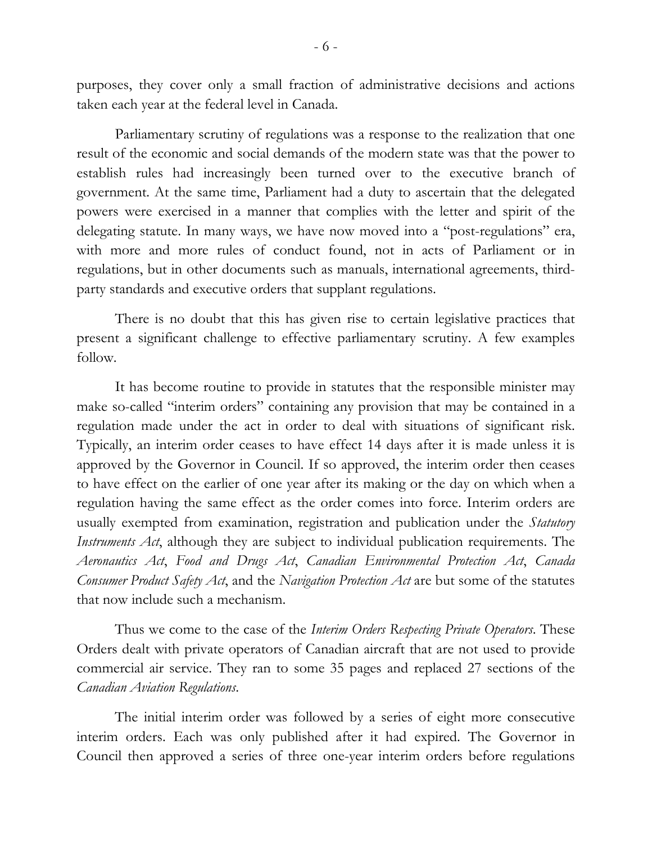purposes, they cover only a small fraction of administrative decisions and actions taken each year at the federal level in Canada.

Parliamentary scrutiny of regulations was a response to the realization that one result of the economic and social demands of the modern state was that the power to establish rules had increasingly been turned over to the executive branch of government. At the same time, Parliament had a duty to ascertain that the delegated powers were exercised in a manner that complies with the letter and spirit of the delegating statute. In many ways, we have now moved into a "post-regulations" era, with more and more rules of conduct found, not in acts of Parliament or in regulations, but in other documents such as manuals, international agreements, thirdparty standards and executive orders that supplant regulations.

There is no doubt that this has given rise to certain legislative practices that present a significant challenge to effective parliamentary scrutiny. A few examples follow.

It has become routine to provide in statutes that the responsible minister may make so-called "interim orders" containing any provision that may be contained in a regulation made under the act in order to deal with situations of significant risk. Typically, an interim order ceases to have effect 14 days after it is made unless it is approved by the Governor in Council. If so approved, the interim order then ceases to have effect on the earlier of one year after its making or the day on which when a regulation having the same effect as the order comes into force. Interim orders are usually exempted from examination, registration and publication under the *Statutory Instruments Act*, although they are subject to individual publication requirements. The *Aeronautics Act*, *Food and Drugs Act*, *Canadian Environmental Protection Act*, *Canada Consumer Product Safety Act*, and the *Navigation Protection Act* are but some of the statutes that now include such a mechanism.

Thus we come to the case of the *Interim Orders Respecting Private Operators*. These Orders dealt with private operators of Canadian aircraft that are not used to provide commercial air service. They ran to some 35 pages and replaced 27 sections of the *Canadian Aviation Regulations*.

The initial interim order was followed by a series of eight more consecutive interim orders. Each was only published after it had expired. The Governor in Council then approved a series of three one-year interim orders before regulations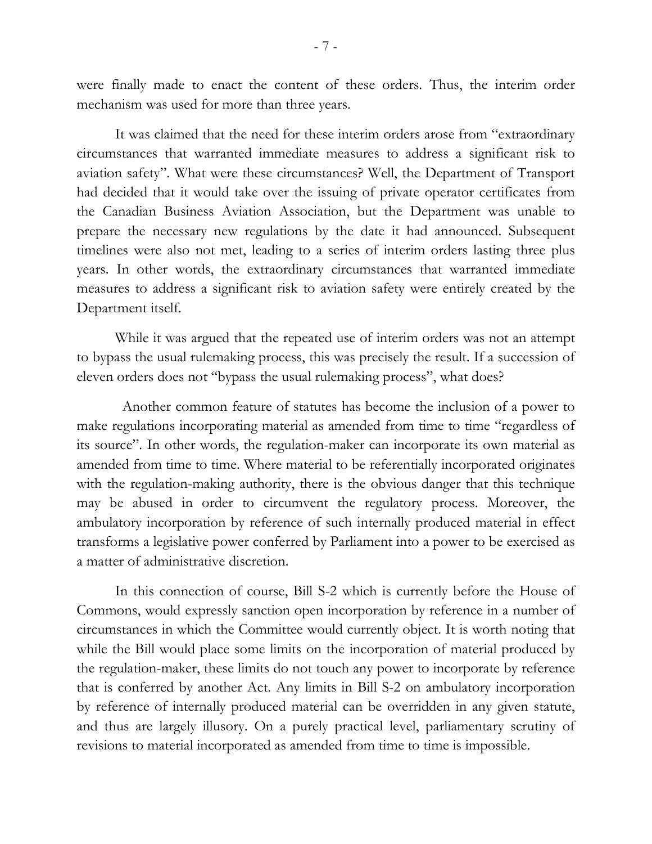were finally made to enact the content of these orders. Thus, the interim order mechanism was used for more than three years.

It was claimed that the need for these interim orders arose from "extraordinary circumstances that warranted immediate measures to address a significant risk to aviation safety". What were these circumstances? Well, the Department of Transport had decided that it would take over the issuing of private operator certificates from the Canadian Business Aviation Association, but the Department was unable to prepare the necessary new regulations by the date it had announced. Subsequent timelines were also not met, leading to a series of interim orders lasting three plus years. In other words, the extraordinary circumstances that warranted immediate measures to address a significant risk to aviation safety were entirely created by the Department itself.

While it was argued that the repeated use of interim orders was not an attempt to bypass the usual rulemaking process, this was precisely the result. If a succession of eleven orders does not "bypass the usual rulemaking process", what does?

 Another common feature of statutes has become the inclusion of a power to make regulations incorporating material as amended from time to time "regardless of its source". In other words, the regulation-maker can incorporate its own material as amended from time to time. Where material to be referentially incorporated originates with the regulation-making authority, there is the obvious danger that this technique may be abused in order to circumvent the regulatory process. Moreover, the ambulatory incorporation by reference of such internally produced material in effect transforms a legislative power conferred by Parliament into a power to be exercised as a matter of administrative discretion.

In this connection of course, Bill S-2 which is currently before the House of Commons, would expressly sanction open incorporation by reference in a number of circumstances in which the Committee would currently object. It is worth noting that while the Bill would place some limits on the incorporation of material produced by the regulation-maker, these limits do not touch any power to incorporate by reference that is conferred by another Act. Any limits in Bill S-2 on ambulatory incorporation by reference of internally produced material can be overridden in any given statute, and thus are largely illusory. On a purely practical level, parliamentary scrutiny of revisions to material incorporated as amended from time to time is impossible.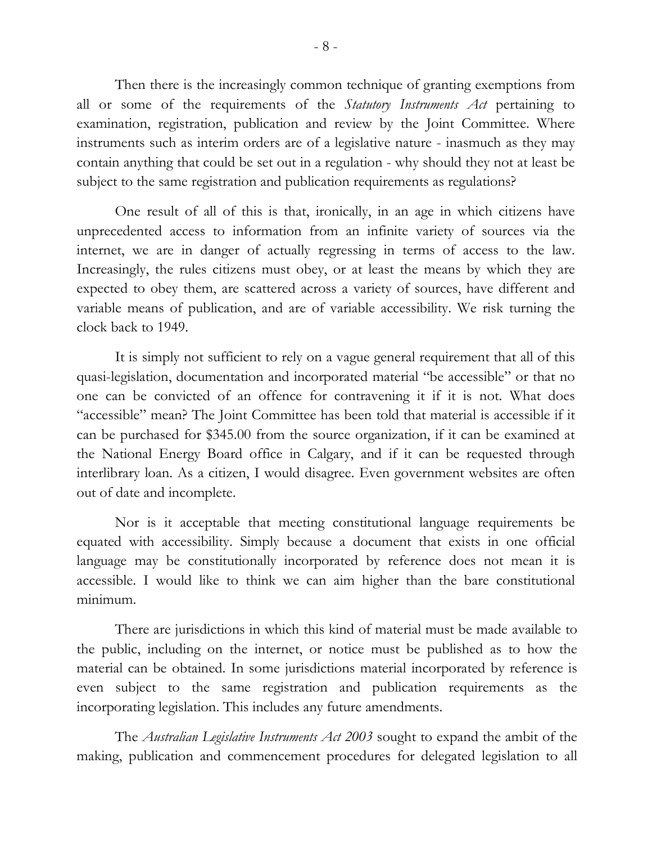Then there is the increasingly common technique of granting exemptions from all or some of the requirements of the *Statutory Instruments Act* pertaining to examination, registration, publication and review by the Joint Committee. Where instruments such as interim orders are of a legislative nature - inasmuch as they may contain anything that could be set out in a regulation - why should they not at least be subject to the same registration and publication requirements as regulations?

One result of all of this is that, ironically, in an age in which citizens have unprecedented access to information from an infinite variety of sources via the internet, we are in danger of actually regressing in terms of access to the law. Increasingly, the rules citizens must obey, or at least the means by which they are expected to obey them, are scattered across a variety of sources, have different and variable means of publication, and are of variable accessibility. We risk turning the clock back to 1949.

It is simply not sufficient to rely on a vague general requirement that all of this quasi-legislation, documentation and incorporated material "be accessible" or that no one can be convicted of an offence for contravening it if it is not. What does "accessible" mean? The Joint Committee has been told that material is accessible if it can be purchased for \$345.00 from the source organization, if it can be examined at the National Energy Board office in Calgary, and if it can be requested through interlibrary loan. As a citizen, I would disagree. Even government websites are often out of date and incomplete.

Nor is it acceptable that meeting constitutional language requirements be equated with accessibility. Simply because a document that exists in one official language may be constitutionally incorporated by reference does not mean it is accessible. I would like to think we can aim higher than the bare constitutional minimum.

There are jurisdictions in which this kind of material must be made available to the public, including on the internet, or notice must be published as to how the material can be obtained. In some jurisdictions material incorporated by reference is even subject to the same registration and publication requirements as the incorporating legislation. This includes any future amendments.

The *Australian Legislative Instruments Act 2003* sought to expand the ambit of the making, publication and commencement procedures for delegated legislation to all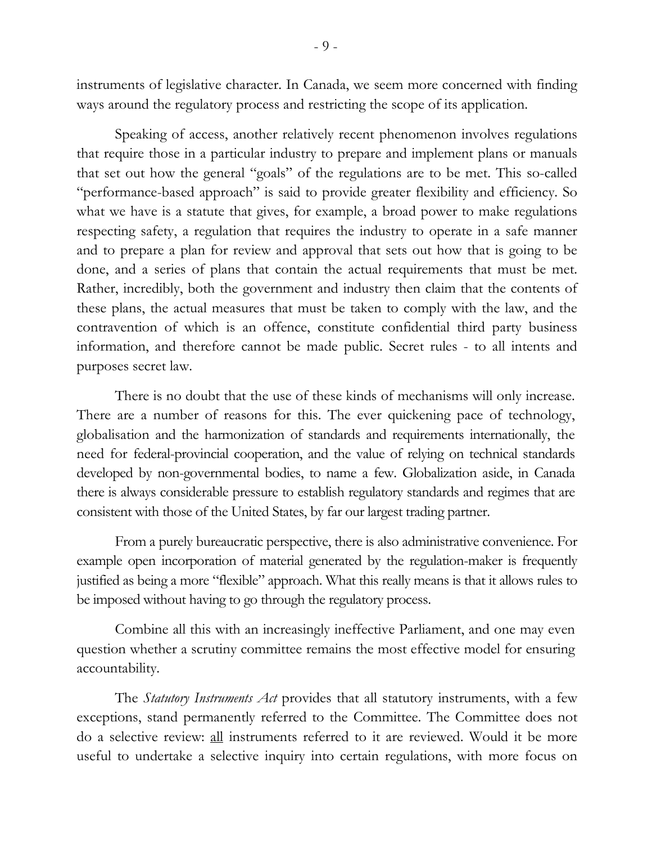instruments of legislative character. In Canada, we seem more concerned with finding ways around the regulatory process and restricting the scope of its application.

Speaking of access, another relatively recent phenomenon involves regulations that require those in a particular industry to prepare and implement plans or manuals that set out how the general "goals" of the regulations are to be met. This so-called "performance-based approach" is said to provide greater flexibility and efficiency. So what we have is a statute that gives, for example, a broad power to make regulations respecting safety, a regulation that requires the industry to operate in a safe manner and to prepare a plan for review and approval that sets out how that is going to be done, and a series of plans that contain the actual requirements that must be met. Rather, incredibly, both the government and industry then claim that the contents of these plans, the actual measures that must be taken to comply with the law, and the contravention of which is an offence, constitute confidential third party business information, and therefore cannot be made public. Secret rules - to all intents and purposes secret law.

There is no doubt that the use of these kinds of mechanisms will only increase. There are a number of reasons for this. The ever quickening pace of technology, globalisation and the harmonization of standards and requirements internationally, the need for federal-provincial cooperation, and the value of relying on technical standards developed by non-governmental bodies, to name a few. Globalization aside, in Canada there is always considerable pressure to establish regulatory standards and regimes that are consistent with those of the United States, by far our largest trading partner.

From a purely bureaucratic perspective, there is also administrative convenience. For example open incorporation of material generated by the regulation-maker is frequently justified as being a more "flexible" approach. What this really means is that it allows rules to be imposed without having to go through the regulatory process.

Combine all this with an increasingly ineffective Parliament, and one may even question whether a scrutiny committee remains the most effective model for ensuring accountability.

The *Statutory Instruments Act* provides that all statutory instruments, with a few exceptions, stand permanently referred to the Committee. The Committee does not do a selective review: all instruments referred to it are reviewed. Would it be more useful to undertake a selective inquiry into certain regulations, with more focus on